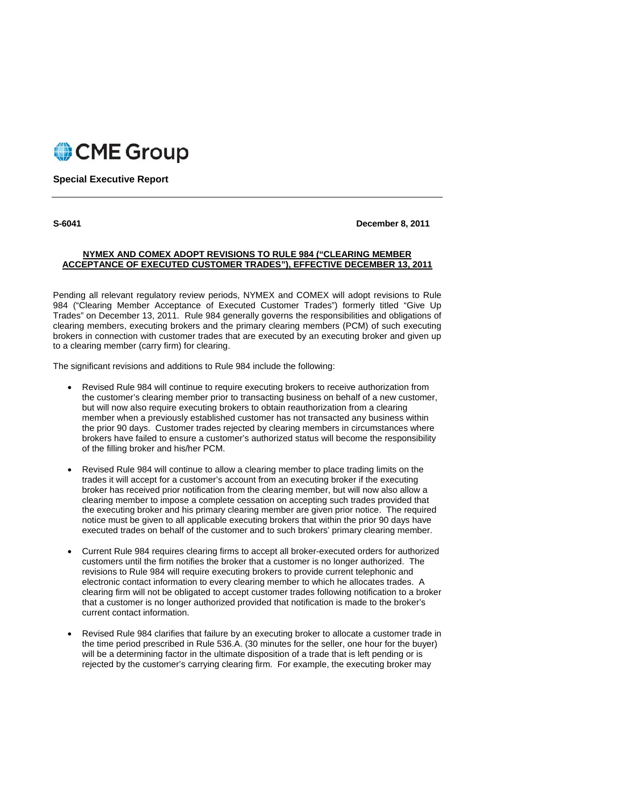

# **Special Executive Report**

**S-6041 December 8, 2011** 

# **NYMEX AND COMEX ADOPT REVISIONS TO RULE 984 ("CLEARING MEMBER ACCEPTANCE OF EXECUTED CUSTOMER TRADES"), EFFECTIVE DECEMBER 13, 2011**

Pending all relevant regulatory review periods, NYMEX and COMEX will adopt revisions to Rule 984 ("Clearing Member Acceptance of Executed Customer Trades") formerly titled "Give Up Trades" on December 13, 2011. Rule 984 generally governs the responsibilities and obligations of clearing members, executing brokers and the primary clearing members (PCM) of such executing brokers in connection with customer trades that are executed by an executing broker and given up to a clearing member (carry firm) for clearing.

The significant revisions and additions to Rule 984 include the following:

- Revised Rule 984 will continue to require executing brokers to receive authorization from the customer's clearing member prior to transacting business on behalf of a new customer, but will now also require executing brokers to obtain reauthorization from a clearing member when a previously established customer has not transacted any business within the prior 90 days. Customer trades rejected by clearing members in circumstances where brokers have failed to ensure a customer's authorized status will become the responsibility of the filling broker and his/her PCM.
- Revised Rule 984 will continue to allow a clearing member to place trading limits on the trades it will accept for a customer's account from an executing broker if the executing broker has received prior notification from the clearing member, but will now also allow a clearing member to impose a complete cessation on accepting such trades provided that the executing broker and his primary clearing member are given prior notice. The required notice must be given to all applicable executing brokers that within the prior 90 days have executed trades on behalf of the customer and to such brokers' primary clearing member.
- Current Rule 984 requires clearing firms to accept all broker-executed orders for authorized customers until the firm notifies the broker that a customer is no longer authorized. The revisions to Rule 984 will require executing brokers to provide current telephonic and electronic contact information to every clearing member to which he allocates trades. A clearing firm will not be obligated to accept customer trades following notification to a broker that a customer is no longer authorized provided that notification is made to the broker's current contact information.
- Revised Rule 984 clarifies that failure by an executing broker to allocate a customer trade in the time period prescribed in Rule 536.A. (30 minutes for the seller, one hour for the buyer) will be a determining factor in the ultimate disposition of a trade that is left pending or is rejected by the customer's carrying clearing firm. For example, the executing broker may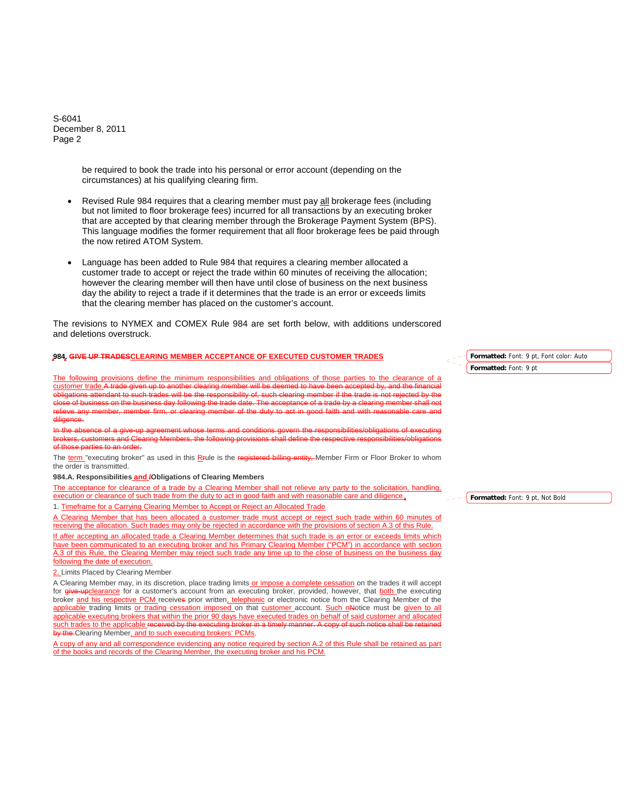S-6041 December 8, 2011 Page 2

> be required to book the trade into his personal or error account (depending on the circumstances) at his qualifying clearing firm.

- Revised Rule 984 requires that a clearing member must pay all brokerage fees (including but not limited to floor brokerage fees) incurred for all transactions by an executing broker that are accepted by that clearing member through the Brokerage Payment System (BPS). This language modifies the former requirement that all floor brokerage fees be paid through the now retired ATOM System.
- Language has been added to Rule 984 that requires a clearing member allocated a customer trade to accept or reject the trade within 60 minutes of receiving the allocation; however the clearing member will then have until close of business on the next business day the ability to reject a trade if it determines that the trade is an error or exceeds limits that the clearing member has placed on the customer's account.

The revisions to NYMEX and COMEX Rule 984 are set forth below, with additions underscored and deletions overstruck.

#### **984. GIVE UP TRADESCLEARING MEMBER ACCEPTANCE OF EXECUTED CUSTOMER TRADES**

The following provisions define the minimum responsibilities and obligations of those parties to the clearance of a customer trade.A trade given up to another clearing member will be deemed to have been accepted by, and the fina such trades will be the responsibility of, such clearing member if the tra of business on the business day following the trade date. The acceptance of a trade by a clearing member shall member of the duty to act in good faith diligence.

ment whose terms and conditions govern the respon:<br>embers, the following provisions shall define the respo brokers, customers and Clearing Members, the following provisions shall define the respective responsibilities/obligations of those parties to an order.

The term "executing broker" as used in this R<sub>rule</sub> is the registered billing entity. Member Firm or Floor Broker to whom the order is transmitted.

### **984.A. Responsibilities and /Obligations of Clearing Members**

The acceptance for clearance of a trade by a Clearing Member shall not relieve any party to the solicitation, handling, execution or clearance of such trade from the duty to act in good faith and with reasonable care and diligence. 1. Timeframe for a Carrying Clearing Member to Accept or Reject an Allocated Trade

A Clearing Member that has been allocated a customer trade must accept or reject such trade within 60 minutes of receiving the allocation. Such trades may only be rejected in accordance with the provisions of section A.3 of this Rule.

If after accepting an allocated trade a Clearing Member determines that such trade is an error or exceeds limits which have been communicated to an executing broker and his Primary Clearing Member ("PCM") in accordance with section A.3 of this Rule, the Clearing Member may reject such trade any time up to the close of business on the business day following the date of execution.

2. Limits Placed by Clearing Member

A Clearing Member may, in its discretion, place trading limits or impose a complete cessation on the trades it will accept for give-upclearance for a customer's account from an executing broker, provided, however, that both the executing broker and his respective PCM receives prior written, telephonic or electronic notice from the Clearing Member of the applicable trading limits or trading cessation imposed on that customer account. Such nNotice must be given to all applicable executing brokers that within the prior 90 days have executed trades on behalf of said customer and allocated such trades to the applicable received by the executing broker in a timely manner. A copy of such notice shall be retained by the Clearing Member, and to such executing brokers' PCMs.

A copy of any and all correspondence evidencing any notice required by section A.2 of this Rule shall be retained as part of the books and records of the Clearing Member, the executing broker and his PCM.

**Formatted:** Font: 9 pt, Font color: Auto **Formatted:** Font: 9 pt

**Formatted:** Font: 9 pt, Not Bold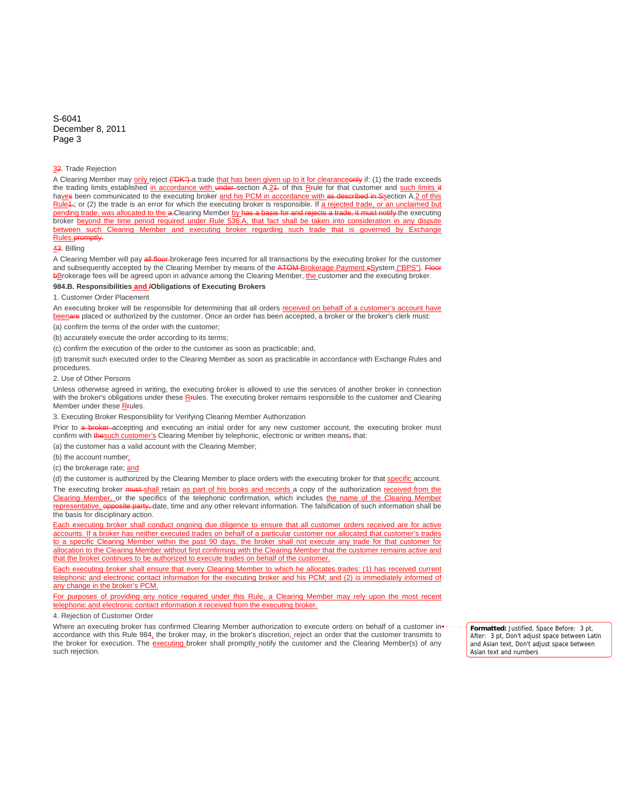### S-6041 December 8, 2011 Page 3

#### 32. Trade Rejection

A Clearing Member may only reject ("DK") a trade that has been given up to it for clearanceonly if: (1) the trade exceeds the trading limits established in accordance with under section A.24. of this R<sub>Full</sub>e for that customer and such limits it haves been communicated to the executing broker and his PCM in accordance with as described in Ssection A.2 of this  $Rule4$ ; or (2) the trade is an error for which the executing broker is responsible. If a rejected trade, or an unclaimed but pending trade, was allocated to the a-Clearing Member by has a basis for and rejects a trade, it must notify the executing broker beyond the time period required under Rule 536.A, that fact shall be taken into consideration in any dispute between such Clearing Member and executing broker regarding such trade that is governed by Exchange Rules.promptly.

### 43. Billing

A Clearing Member will pay all floor brokerage fees incurred for all transactions by the executing broker for the customer and subsequently accepted by the Clearing Member by means of the ATOM Brokerage Payment sSystem ("BPS"). Floor bBrokerage fees will be agreed upon in advance among the Clearing Member, the customer and the executing broker.

### **984.B. Responsibilities and /Obligations of Executing Brokers**

# 1. Customer Order Placement

An executing broker will be responsible for determining that all orders received on behalf of a customer's account have beenare placed or authorized by the customer. Once an order has been accepted, a broker or the broker's clerk must: (a) confirm the terms of the order with the customer;

(b) accurately execute the order according to its terms;

(c) confirm the execution of the order to the customer as soon as practicable; and,

(d) transmit such executed order to the Clearing Member as soon as practicable in accordance with Exchange Rules and procedures.

2. Use of Other Persons

Unless otherwise agreed in writing, the executing broker is allowed to use the services of another broker in connection with the broker's obligations under these R<sub>F</sub>ules. The executing broker remains responsible to the customer and Clearing Member under these R<sub>Fules</sub>.

3. Executing Broker Responsibility for Verifying Clearing Member Authorization

Prior to a broker accepting and executing an initial order for any new customer account, the executing broker must confirm with thesuch customer's Clearing Member by telephonic, electronic or written means, that:

(a) the customer has a valid account with the Clearing Member;

(b) the account number;

(c) the brokerage rate; and

(d) the customer is authorized by the Clearing Member to place orders with the executing broker for that specific account. The executing broker must shall retain as part of his books and records a copy of the authorization received from the Clearing Member, or the specifics of the telephonic confirmation, which includes the name of the Clearing Member representative, opposite party, date, time and any other relevant information. The falsification of such information shall be the basis for disciplinary action.

Each executing broker shall conduct ongoing due diligence to ensure that all customer orders received are for active accounts. If a broker has neither executed trades on behalf of a particular customer nor allocated that customer's trades to a specific Clearing Member within the past 90 days, the broker shall not execute any trade for that customer for allocation to the Clearing Member without first confirming with the Clearing Member that the customer remains active and that the broker continues to be authorized to execute trades on behalf of the customer.

Each executing broker shall ensure that every Clearing Member to which he allocates trades: (1) has received current telephonic and electronic contact information for the executing broker and his PCM; and (2) is immediately informed of any change in the broker's PCM.

For purposes of providing any notice required under this Rule, a Clearing Member may rely upon the most recent telephonic and electronic contact information it received from the executing broker.

#### 4. Rejection of Customer Order

Where an executing broker has confirmed Clearing Member authorization to execute orders on behalf of a customer inaccordance with this Rule 984, the broker may, in the broker's discretion, reject an order that the customer transmits to the broker for execution. The **executing** broker shall promptly notify the customer and the Clearing Member(s) of any such rejection.

**Formatted:** Justified, Space Before: 3 pt, After: 3 pt, Don't adjust space between Latin and Asian text, Don't adjust space between Asian text and numbers